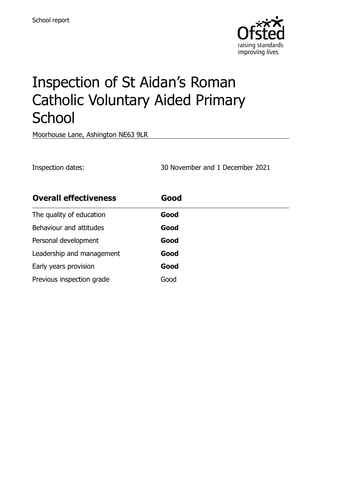

# Inspection of St Aidan's Roman Catholic Voluntary Aided Primary **School**

Moorhouse Lane, Ashington NE63 9LR

Inspection dates: 30 November and 1 December 2021

| <b>Overall effectiveness</b> | Good |
|------------------------------|------|
| The quality of education     | Good |
| Behaviour and attitudes      | Good |
| Personal development         | Good |
| Leadership and management    | Good |
| Early years provision        | Good |
| Previous inspection grade    | Good |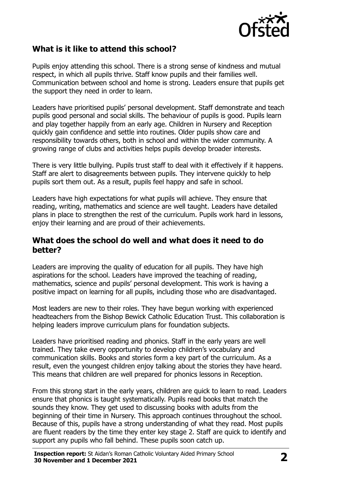

## **What is it like to attend this school?**

Pupils enjoy attending this school. There is a strong sense of kindness and mutual respect, in which all pupils thrive. Staff know pupils and their families well. Communication between school and home is strong. Leaders ensure that pupils get the support they need in order to learn.

Leaders have prioritised pupils' personal development. Staff demonstrate and teach pupils good personal and social skills. The behaviour of pupils is good. Pupils learn and play together happily from an early age. Children in Nursery and Reception quickly gain confidence and settle into routines. Older pupils show care and responsibility towards others, both in school and within the wider community. A growing range of clubs and activities helps pupils develop broader interests.

There is very little bullying. Pupils trust staff to deal with it effectively if it happens. Staff are alert to disagreements between pupils. They intervene quickly to help pupils sort them out. As a result, pupils feel happy and safe in school.

Leaders have high expectations for what pupils will achieve. They ensure that reading, writing, mathematics and science are well taught. Leaders have detailed plans in place to strengthen the rest of the curriculum. Pupils work hard in lessons, enjoy their learning and are proud of their achievements.

#### **What does the school do well and what does it need to do better?**

Leaders are improving the quality of education for all pupils. They have high aspirations for the school. Leaders have improved the teaching of reading, mathematics, science and pupils' personal development. This work is having a positive impact on learning for all pupils, including those who are disadvantaged.

Most leaders are new to their roles. They have begun working with experienced headteachers from the Bishop Bewick Catholic Education Trust. This collaboration is helping leaders improve curriculum plans for foundation subjects.

Leaders have prioritised reading and phonics. Staff in the early years are well trained. They take every opportunity to develop children's vocabulary and communication skills. Books and stories form a key part of the curriculum. As a result, even the youngest children enjoy talking about the stories they have heard. This means that children are well prepared for phonics lessons in Reception.

From this strong start in the early years, children are quick to learn to read. Leaders ensure that phonics is taught systematically. Pupils read books that match the sounds they know. They get used to discussing books with adults from the beginning of their time in Nursery. This approach continues throughout the school. Because of this, pupils have a strong understanding of what they read. Most pupils are fluent readers by the time they enter key stage 2. Staff are quick to identify and support any pupils who fall behind. These pupils soon catch up.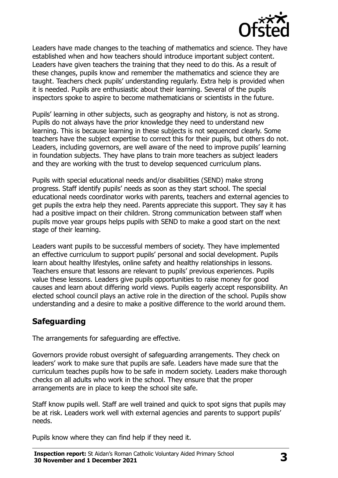

Leaders have made changes to the teaching of mathematics and science. They have established when and how teachers should introduce important subject content. Leaders have given teachers the training that they need to do this. As a result of these changes, pupils know and remember the mathematics and science they are taught. Teachers check pupils' understanding regularly. Extra help is provided when it is needed. Pupils are enthusiastic about their learning. Several of the pupils inspectors spoke to aspire to become mathematicians or scientists in the future.

Pupils' learning in other subjects, such as geography and history, is not as strong. Pupils do not always have the prior knowledge they need to understand new learning. This is because learning in these subjects is not sequenced clearly. Some teachers have the subject expertise to correct this for their pupils, but others do not. Leaders, including governors, are well aware of the need to improve pupils' learning in foundation subjects. They have plans to train more teachers as subject leaders and they are working with the trust to develop sequenced curriculum plans.

Pupils with special educational needs and/or disabilities (SEND) make strong progress. Staff identify pupils' needs as soon as they start school. The special educational needs coordinator works with parents, teachers and external agencies to get pupils the extra help they need. Parents appreciate this support. They say it has had a positive impact on their children. Strong communication between staff when pupils move year groups helps pupils with SEND to make a good start on the next stage of their learning.

Leaders want pupils to be successful members of society. They have implemented an effective curriculum to support pupils' personal and social development. Pupils learn about healthy lifestyles, online safety and healthy relationships in lessons. Teachers ensure that lessons are relevant to pupils' previous experiences. Pupils value these lessons. Leaders give pupils opportunities to raise money for good causes and learn about differing world views. Pupils eagerly accept responsibility. An elected school council plays an active role in the direction of the school. Pupils show understanding and a desire to make a positive difference to the world around them.

### **Safeguarding**

The arrangements for safeguarding are effective.

Governors provide robust oversight of safeguarding arrangements. They check on leaders' work to make sure that pupils are safe. Leaders have made sure that the curriculum teaches pupils how to be safe in modern society. Leaders make thorough checks on all adults who work in the school. They ensure that the proper arrangements are in place to keep the school site safe.

Staff know pupils well. Staff are well trained and quick to spot signs that pupils may be at risk. Leaders work well with external agencies and parents to support pupils' needs.

Pupils know where they can find help if they need it.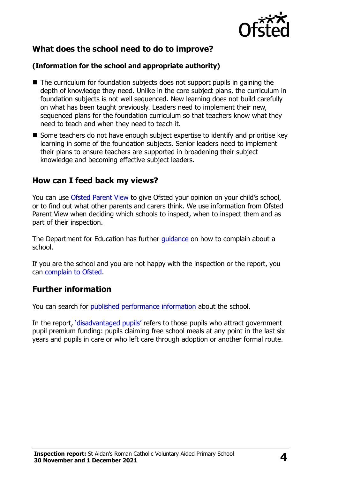

# **What does the school need to do to improve?**

#### **(Information for the school and appropriate authority)**

- The curriculum for foundation subjects does not support pupils in gaining the depth of knowledge they need. Unlike in the core subject plans, the curriculum in foundation subjects is not well sequenced. New learning does not build carefully on what has been taught previously. Leaders need to implement their new, sequenced plans for the foundation curriculum so that teachers know what they need to teach and when they need to teach it.
- Some teachers do not have enough subject expertise to identify and prioritise key learning in some of the foundation subjects. Senior leaders need to implement their plans to ensure teachers are supported in broadening their subject knowledge and becoming effective subject leaders.

#### **How can I feed back my views?**

You can use [Ofsted Parent View](http://parentview.ofsted.gov.uk/) to give Ofsted your opinion on your child's school, or to find out what other parents and carers think. We use information from Ofsted Parent View when deciding which schools to inspect, when to inspect them and as part of their inspection.

The Department for Education has further quidance on how to complain about a school.

If you are the school and you are not happy with the inspection or the report, you can [complain to Ofsted.](http://www.gov.uk/complain-ofsted-report)

### **Further information**

You can search for [published performance information](http://www.compare-school-performance.service.gov.uk/) about the school.

In the report, '[disadvantaged pupils](http://www.gov.uk/guidance/pupil-premium-information-for-schools-and-alternative-provision-settings)' refers to those pupils who attract government pupil premium funding: pupils claiming free school meals at any point in the last six years and pupils in care or who left care through adoption or another formal route.

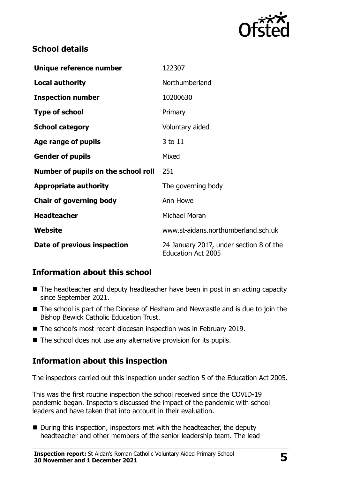

# **School details**

| Unique reference number             | 122307                                                               |  |
|-------------------------------------|----------------------------------------------------------------------|--|
| <b>Local authority</b>              | Northumberland                                                       |  |
| <b>Inspection number</b>            | 10200630                                                             |  |
| <b>Type of school</b>               | Primary                                                              |  |
| <b>School category</b>              | Voluntary aided                                                      |  |
| Age range of pupils                 | 3 to 11                                                              |  |
| <b>Gender of pupils</b>             | Mixed                                                                |  |
| Number of pupils on the school roll | 251                                                                  |  |
| <b>Appropriate authority</b>        | The governing body                                                   |  |
| <b>Chair of governing body</b>      | Ann Howe                                                             |  |
| <b>Headteacher</b>                  | Michael Moran                                                        |  |
| Website                             | www.st-aidans.northumberland.sch.uk                                  |  |
| Date of previous inspection         | 24 January 2017, under section 8 of the<br><b>Education Act 2005</b> |  |

# **Information about this school**

- The headteacher and deputy headteacher have been in post in an acting capacity since September 2021.
- The school is part of the Diocese of Hexham and Newcastle and is due to join the Bishop Bewick Catholic Education Trust.
- The school's most recent diocesan inspection was in February 2019.
- The school does not use any alternative provision for its pupils.

### **Information about this inspection**

The inspectors carried out this inspection under section 5 of the Education Act 2005.

This was the first routine inspection the school received since the COVID-19 pandemic began. Inspectors discussed the impact of the pandemic with school leaders and have taken that into account in their evaluation.

■ During this inspection, inspectors met with the headteacher, the deputy headteacher and other members of the senior leadership team. The lead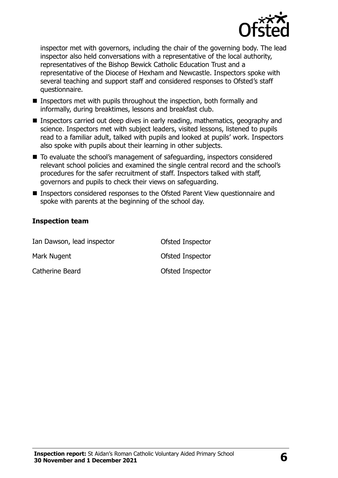

inspector met with governors, including the chair of the governing body. The lead inspector also held conversations with a representative of the local authority, representatives of the Bishop Bewick Catholic Education Trust and a representative of the Diocese of Hexham and Newcastle. Inspectors spoke with several teaching and support staff and considered responses to Ofsted's staff questionnaire.

- $\blacksquare$  Inspectors met with pupils throughout the inspection, both formally and informally, during breaktimes, lessons and breakfast club.
- Inspectors carried out deep dives in early reading, mathematics, geography and science. Inspectors met with subject leaders, visited lessons, listened to pupils read to a familiar adult, talked with pupils and looked at pupils' work. Inspectors also spoke with pupils about their learning in other subjects.
- To evaluate the school's management of safeguarding, inspectors considered relevant school policies and examined the single central record and the school's procedures for the safer recruitment of staff. Inspectors talked with staff, governors and pupils to check their views on safeguarding.
- Inspectors considered responses to the Ofsted Parent View questionnaire and spoke with parents at the beginning of the school day.

#### **Inspection team**

| Ian Dawson, lead inspector | Ofsted Inspector |
|----------------------------|------------------|
| Mark Nugent                | Ofsted Inspector |
| Catherine Beard            | Ofsted Inspector |